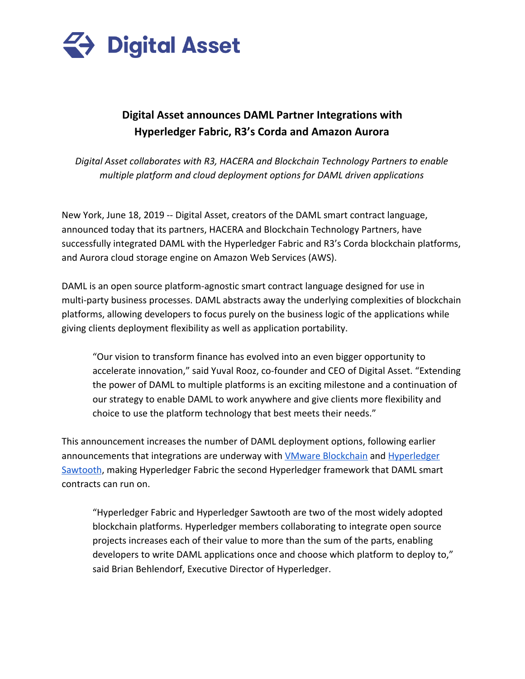

# **Digital Asset announces DAML Partner Integrations with Hyperledger Fabric, R3's Corda and Amazon Aurora**

*Digital Asset collaborates with R3, HACERA and Blockchain Technology Partners to enable multiple platform and cloud deployment options for DAML driven applications*

New York, June 18, 2019 -- Digital Asset, creators of the DAML smart contract language, announced today that its partners, HACERA and Blockchain Technology Partners, have successfully integrated DAML with the Hyperledger Fabric and R3's Corda blockchain platforms, and Aurora cloud storage engine on Amazon Web Services (AWS).

DAML is an open source platform-agnostic smart contract language designed for use in multi-party business processes. DAML abstracts away the underlying complexities of blockchain platforms, allowing developers to focus purely on the business logic of the applications while giving clients deployment flexibility as well as application portability.

"Our vision to transform finance has evolved into an even bigger opportunity to accelerate innovation," said Yuval Rooz, co-founder and CEO of Digital Asset. "Extending the power of DAML to multiple platforms is an exciting milestone and a continuation of our strategy to enable DAML to work anywhere and give clients more flexibility and choice to use the platform technology that best meets their needs."

This announcement increases the number of DAML deployment options, following earlier announcements that integrations are underway with *VMware Blockchain* and *[Hyperledger](https://hub.digitalasset.com/hubfs/Press%20Releases/DAML%20on%20Hyperledger%20Sawtooth.pdf)* [Sawtooth](https://hub.digitalasset.com/hubfs/Press%20Releases/DAML%20on%20Hyperledger%20Sawtooth.pdf), making Hyperledger Fabric the second Hyperledger framework that DAML smart contracts can run on.

"Hyperledger Fabric and Hyperledger Sawtooth are two of the most widely adopted blockchain platforms. Hyperledger members collaborating to integrate open source projects increases each of their value to more than the sum of the parts, enabling developers to write DAML applications once and choose which platform to deploy to," said Brian Behlendorf, Executive Director of Hyperledger.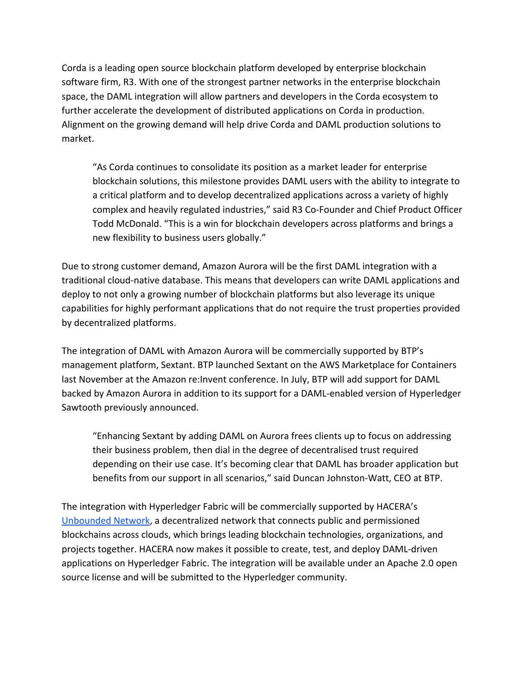Corda is a leading open source blockchain platform developed by enterprise blockchain software firm, R3. With one of the strongest partner networks in the enterprise blockchain space, the DAML integration will allow partners and developers in the Corda ecosystem to further accelerate the development of distributed applications on Corda in production. Alignment on the growing demand will help drive Corda and DAML production solutions to market.

"As Corda continues to consolidate its position as a market leader for enterprise blockchain solutions, this milestone provides DAML users with the ability to integrate to a critical platform and to develop decentralized applications across a variety of highly complex and heavily regulated industries," said R3 Co-Founder and Chief Product Officer Todd McDonald. "This is a win for blockchain developers across platforms and brings a new flexibility to business users globally."

Due to strong customer demand, Amazon Aurora will be the first DAML integration with a traditional cloud-native database. This means that developers can write DAML applications and deploy to not only a growing number of blockchain platforms but also leverage its unique capabilities for highly performant applications that do not require the trust properties provided by decentralized platforms.

The integration of DAML with Amazon Aurora will be commercially supported by BTP's management platform, Sextant. BTP launched Sextant on the AWS Marketplace for Containers last November at the Amazon re:Invent conference. In July, BTP will add support for DAML backed by Amazon Aurora in addition to its support for a DAML-enabled version of Hyperledger Sawtooth previously announced.

"Enhancing Sextant by adding DAML on Aurora frees clients up to focus on addressing their business problem, then dial in the degree of decentralised trust required depending on their use case. It's becoming clear that DAML has broader application but benefits from our support in all scenarios," said Duncan Johnston-Watt, CEO at BTP.

The integration with Hyperledger Fabric will be commercially supported by HACERA's [Unbounded Network,](https://unbounded.network/) a decentralized network that connects public and permissioned blockchains across clouds, which brings leading blockchain technologies, organizations, and projects together. HACERA now makes it possible to create, test, and deploy DAML-driven applications on Hyperledger Fabric. The integration will be available under an Apache 2.0 open source license and will be submitted to the Hyperledger community.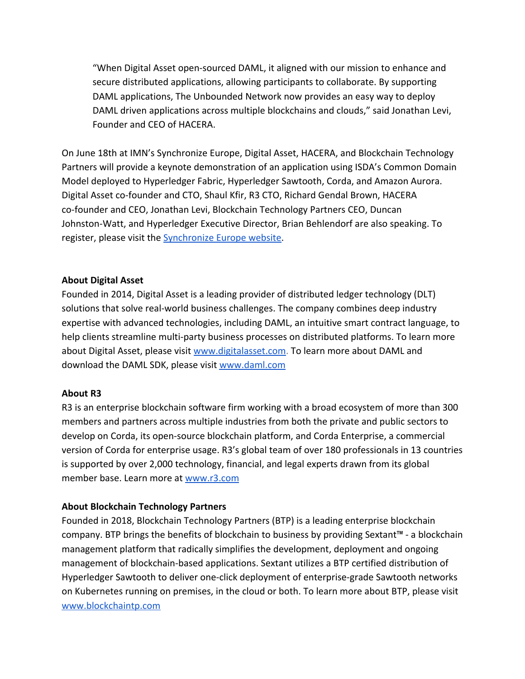"When Digital Asset open-sourced DAML, it aligned with our mission to enhance and secure distributed applications, allowing participants to collaborate. By supporting DAML applications, The Unbounded Network now provides an easy way to deploy DAML driven applications across multiple blockchains and clouds," said Jonathan Levi, Founder and CEO of HACERA.

On June 18th at IMN's Synchronize Europe, Digital Asset, HACERA, and Blockchain Technology Partners will provide a keynote demonstration of an application using ISDA's Common Domain Model deployed to Hyperledger Fabric, Hyperledger Sawtooth, Corda, and Amazon Aurora. Digital Asset co-founder and CTO, Shaul Kfir, R3 CTO, Richard Gendal Brown, HACERA co-founder and CEO, Jonathan Levi, Blockchain Technology Partners CEO, Duncan Johnston-Watt, and Hyperledger Executive Director, Brian Behlendorf are also speaking. To register, please visit the [Synchronize Europe website](https://www.imn.org/financial-technology/conference/Synchronize-Europe/Register.html).

## **About Digital Asset**

Founded in 2014, Digital Asset is a leading provider of distributed ledger technology (DLT) solutions that solve real-world business challenges. The company combines deep industry expertise with advanced technologies, including DAML, an intuitive smart contract language, to help clients streamline multi-party business processes on distributed platforms. To learn more about Digital Asset, please visit [www.digitalasset.com.](https://www.digitalasset.com/) To learn more about DAML and download the DAML SDK, please visit [www.daml.com](https://www.daml.com/)

#### **About R3**

R3 is an enterprise blockchain software firm working with a broad ecosystem of more than 300 members and partners across multiple industries from both the private and public sectors to develop on Corda, its open-source blockchain platform, and Corda Enterprise, a commercial version of Corda for enterprise usage. R3's global team of over 180 professionals in 13 countries is supported by over 2,000 technology, financial, and legal experts drawn from its global member base. Learn more at [www.r3.com](http://www.r3.com/)

# **About Blockchain Technology Partners**

Founded in 2018, Blockchain Technology Partners (BTP) is a leading enterprise blockchain company. BTP brings the benefits of blockchain to business by providing Sextant™ - a blockchain management platform that radically simplifies the development, deployment and ongoing management of blockchain-based applications. Sextant utilizes a BTP certified distribution of Hyperledger Sawtooth to deliver one-click deployment of enterprise-grade Sawtooth networks on Kubernetes running on premises, in the cloud or both. To learn more about BTP, please visit [www.blockchaintp.com](https://blockchaintp.com/)